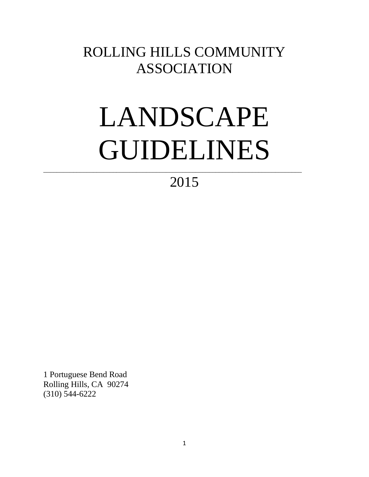# ROLLING HILLS COMMUNITY ASSOCIATION

# LANDSCAPE GUIDELINES

# 2015

\_\_\_\_\_\_\_\_\_\_\_\_\_\_\_\_\_\_\_\_\_\_\_\_\_\_\_\_\_\_\_\_\_\_\_\_\_\_\_\_\_\_\_\_\_\_\_\_\_\_\_\_\_\_\_\_\_\_\_\_\_\_\_\_\_\_\_\_\_\_\_\_\_\_\_\_\_\_

1 Portuguese Bend Road Rolling Hills, CA 90274 (310) 544-6222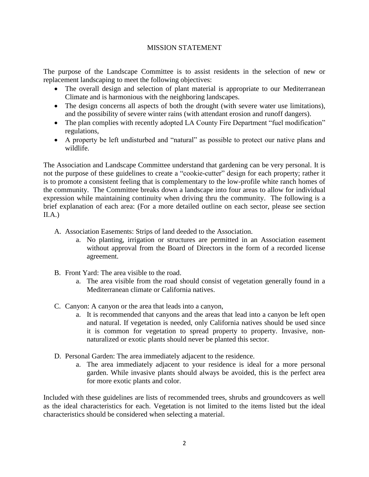#### MISSION STATEMENT

The purpose of the Landscape Committee is to assist residents in the selection of new or replacement landscaping to meet the following objectives:

- The overall design and selection of plant material is appropriate to our Mediterranean Climate and is harmonious with the neighboring landscapes.
- The design concerns all aspects of both the drought (with severe water use limitations), and the possibility of severe winter rains (with attendant erosion and runoff dangers).
- The plan complies with recently adopted LA County Fire Department "fuel modification" regulations,
- A property be left undisturbed and "natural" as possible to protect our native plans and wildlife.

The Association and Landscape Committee understand that gardening can be very personal. It is not the purpose of these guidelines to create a "cookie-cutter" design for each property; rather it is to promote a consistent feeling that is complementary to the low-profile white ranch homes of the community. The Committee breaks down a landscape into four areas to allow for individual expression while maintaining continuity when driving thru the community. The following is a brief explanation of each area: (For a more detailed outline on each sector, please see section  $II.A.)$ 

- A. Association Easements: Strips of land deeded to the Association.
	- a. No planting, irrigation or structures are permitted in an Association easement without approval from the Board of Directors in the form of a recorded license agreement.
- B. Front Yard: The area visible to the road.
	- a. The area visible from the road should consist of vegetation generally found in a Mediterranean climate or California natives.
- C. Canyon: A canyon or the area that leads into a canyon,
	- a. It is recommended that canyons and the areas that lead into a canyon be left open and natural. If vegetation is needed, only California natives should be used since it is common for vegetation to spread property to property. Invasive, nonnaturalized or exotic plants should never be planted this sector.
- D. Personal Garden: The area immediately adjacent to the residence.
	- a. The area immediately adjacent to your residence is ideal for a more personal garden. While invasive plants should always be avoided, this is the perfect area for more exotic plants and color.

Included with these guidelines are lists of recommended trees, shrubs and groundcovers as well as the ideal characteristics for each. Vegetation is not limited to the items listed but the ideal characteristics should be considered when selecting a material.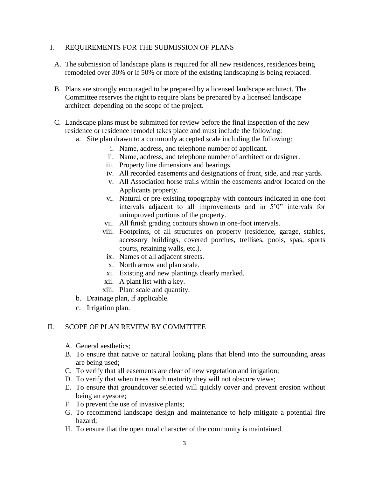#### I. REQUIREMENTS FOR THE SUBMISSION OF PLANS

- A. The submission of landscape plans is required for all new residences, residences being remodeled over 30% or if 50% or more of the existing landscaping is being replaced.
- B. Plans are strongly encouraged to be prepared by a licensed landscape architect. The Committee reserves the right to require plans be prepared by a licensed landscape architect depending on the scope of the project.
- C. Landscape plans must be submitted for review before the final inspection of the new residence or residence remodel takes place and must include the following:
	- a. Site plan drawn to a commonly accepted scale including the following:
		- i. Name, address, and telephone number of applicant.
		- ii. Name, address, and telephone number of architect or designer.
		- iii. Property line dimensions and bearings.
		- iv. All recorded easements and designations of front, side, and rear yards.
		- v. All Association horse trails within the easements and/or located on the Applicants property.
		- vi. Natural or pre-existing topography with contours indicated in one-foot intervals adjacent to all improvements and in 5'0" intervals for unimproved portions of the property.
		- vii. All finish grading contours shown in one-foot intervals.
		- viii. Footprints, of all structures on property (residence, garage, stables, accessory buildings, covered porches, trellises, pools, spas, sports courts, retaining walls, etc.).
		- ix. Names of all adjacent streets.
		- x. North arrow and plan scale.
		- xi. Existing and new plantings clearly marked.
		- xii. A plant list with a key.
		- xiii. Plant scale and quantity.
	- b. Drainage plan, if applicable.
	- c. Irrigation plan.

#### II. SCOPE OF PLAN REVIEW BY COMMITTEE

- A. General aesthetics;
- B. To ensure that native or natural looking plans that blend into the surrounding areas are being used;
- C. To verify that all easements are clear of new vegetation and irrigation;
- D. To verify that when trees reach maturity they will not obscure views;
- E. To ensure that groundcover selected will quickly cover and prevent erosion without being an eyesore;
- F. To prevent the use of invasive plants;
- G. To recommend landscape design and maintenance to help mitigate a potential fire hazard;
- H. To ensure that the open rural character of the community is maintained.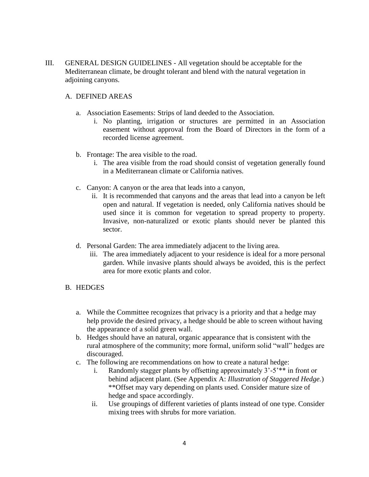III. GENERAL DESIGN GUIDELINES - All vegetation should be acceptable for the Mediterranean climate, be drought tolerant and blend with the natural vegetation in adjoining canyons.

#### A. DEFINED AREAS

- a. Association Easements: Strips of land deeded to the Association.
	- i. No planting, irrigation or structures are permitted in an Association easement without approval from the Board of Directors in the form of a recorded license agreement.
- b. Frontage: The area visible to the road.
	- i. The area visible from the road should consist of vegetation generally found in a Mediterranean climate or California natives.
- c. Canyon: A canyon or the area that leads into a canyon,
	- ii. It is recommended that canyons and the areas that lead into a canyon be left open and natural. If vegetation is needed, only California natives should be used since it is common for vegetation to spread property to property. Invasive, non-naturalized or exotic plants should never be planted this sector.
- d. Personal Garden: The area immediately adjacent to the living area.
	- iii. The area immediately adjacent to your residence is ideal for a more personal garden. While invasive plants should always be avoided, this is the perfect area for more exotic plants and color.

#### B. HEDGES

- a. While the Committee recognizes that privacy is a priority and that a hedge may help provide the desired privacy, a hedge should be able to screen without having the appearance of a solid green wall.
- b. Hedges should have an natural, organic appearance that is consistent with the rural atmosphere of the community; more formal, uniform solid "wall" hedges are discouraged.
- c. The following are recommendations on how to create a natural hedge:
	- i. Randomly stagger plants by offsetting approximately 3'-5'\*\* in front or behind adjacent plant. (See Appendix A: *Illustration of Staggered Hedge.*) \*\*Offset may vary depending on plants used. Consider mature size of hedge and space accordingly.
	- ii. Use groupings of different varieties of plants instead of one type. Consider mixing trees with shrubs for more variation.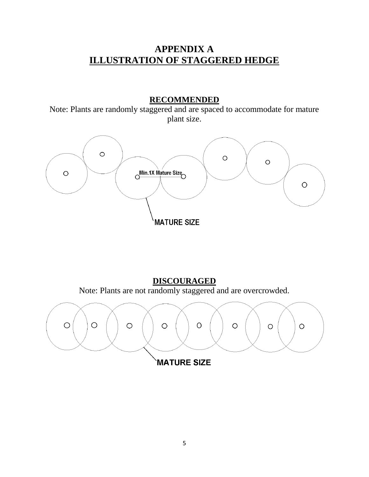## **APPENDIX A ILLUSTRATION OF STAGGERED HEDGE**

### **RECOMMENDED**

Note: Plants are randomly staggered and are spaced to accommodate for mature plant size.



**DISCOURAGED** Note: Plants are not randomly staggered and are overcrowded.